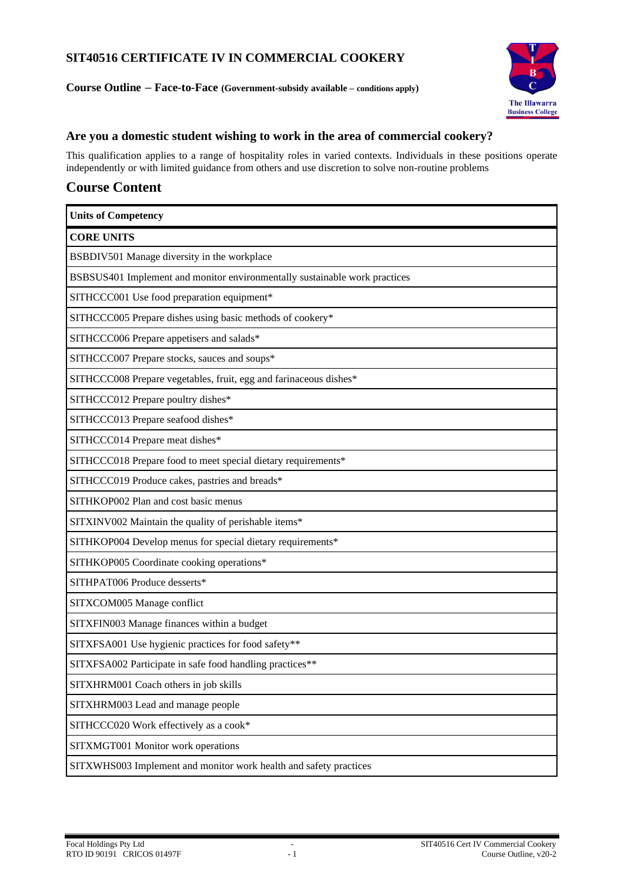# **SIT40516 CERTIFICATE IV IN COMMERCIAL COOKERY**

**Course Outline – Face-to-Face (Government-subsidy available – conditions apply)**



# **Are you a domestic student wishing to work in the area of commercial cookery?**

This qualification applies to a range of hospitality roles in varied contexts. Individuals in these positions operate independently or with limited guidance from others and use discretion to solve non-routine problems

# **Course Content**

| <b>Units of Competency</b>                                                 |
|----------------------------------------------------------------------------|
| <b>CORE UNITS</b>                                                          |
| BSBDIV501 Manage diversity in the workplace                                |
| BSBSUS401 Implement and monitor environmentally sustainable work practices |
| SITHCCC001 Use food preparation equipment*                                 |
| SITHCCC005 Prepare dishes using basic methods of cookery*                  |
| SITHCCC006 Prepare appetisers and salads*                                  |
| SITHCCC007 Prepare stocks, sauces and soups*                               |
| SITHCCC008 Prepare vegetables, fruit, egg and farinaceous dishes*          |
| SITHCCC012 Prepare poultry dishes*                                         |
| SITHCCC013 Prepare seafood dishes*                                         |
| SITHCCC014 Prepare meat dishes*                                            |
| SITHCCC018 Prepare food to meet special dietary requirements*              |
| SITHCCC019 Produce cakes, pastries and breads*                             |
| SITHKOP002 Plan and cost basic menus                                       |
| SITXINV002 Maintain the quality of perishable items*                       |
| SITHKOP004 Develop menus for special dietary requirements*                 |
| SITHKOP005 Coordinate cooking operations*                                  |
| SITHPAT006 Produce desserts*                                               |
| SITXCOM005 Manage conflict                                                 |
| SITXFIN003 Manage finances within a budget                                 |
| SITXFSA001 Use hygienic practices for food safety**                        |
| SITXFSA002 Participate in safe food handling practices**                   |
| SITXHRM001 Coach others in job skills                                      |
| SITXHRM003 Lead and manage people                                          |
| SITHCCC020 Work effectively as a cook*                                     |
| SITXMGT001 Monitor work operations                                         |
| SITXWHS003 Implement and monitor work health and safety practices          |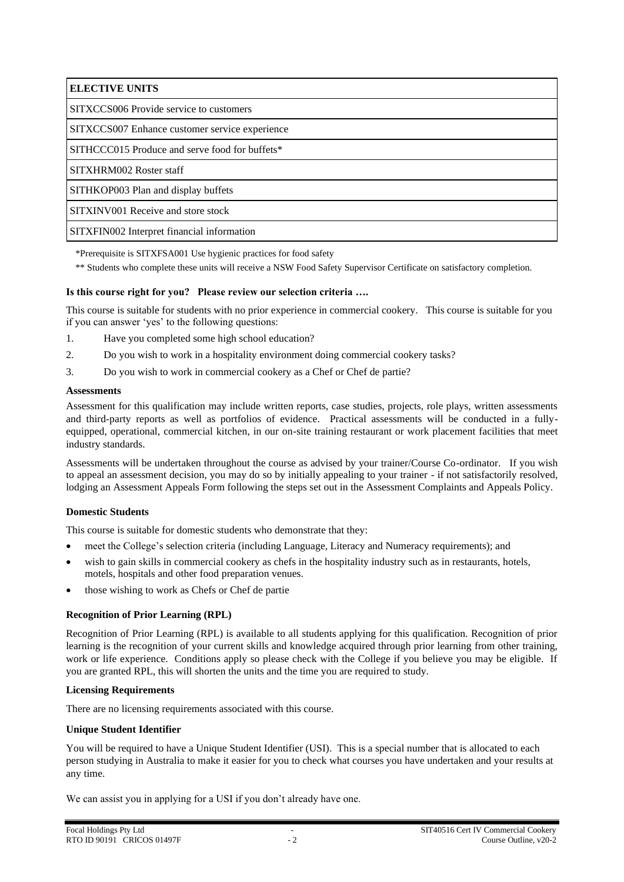**ELECTIVE UNITS**

SITXCCS006 Provide service to customers

SITXCCS007 Enhance customer service experience

SITHCCC015 Produce and serve food for buffets\*

SITXHRM002 Roster staff

SITHKOP003 Plan and display buffets

SITXINV001 Receive and store stock

SITXFIN002 Interpret financial information

\*Prerequisite is SITXFSA001 Use hygienic practices for food safety

\*\* Students who complete these units will receive a NSW Food Safety Supervisor Certificate on satisfactory completion.

## **Is this course right for you? Please review our selection criteria ….**

This course is suitable for students with no prior experience in commercial cookery. This course is suitable for you if you can answer 'yes' to the following questions:

- 1. Have you completed some high school education?
- 2. Do you wish to work in a hospitality environment doing commercial cookery tasks?
- 3. Do you wish to work in commercial cookery as a Chef or Chef de partie?

### **Assessments**

Assessment for this qualification may include written reports, case studies, projects, role plays, written assessments and third-party reports as well as portfolios of evidence. Practical assessments will be conducted in a fullyequipped, operational, commercial kitchen, in our on-site training restaurant or work placement facilities that meet industry standards.

Assessments will be undertaken throughout the course as advised by your trainer/Course Co-ordinator. If you wish to appeal an assessment decision, you may do so by initially appealing to your trainer - if not satisfactorily resolved, lodging an Assessment Appeals Form following the steps set out in the Assessment Complaints and Appeals Policy.

# **Domestic Students**

This course is suitable for domestic students who demonstrate that they:

- meet the College's selection criteria (including Language, Literacy and Numeracy requirements); and
- wish to gain skills in commercial cookery as chefs in the hospitality industry such as in restaurants, hotels, motels, hospitals and other food preparation venues.
- those wishing to work as Chefs or Chef de partie

# **Recognition of Prior Learning (RPL)**

Recognition of Prior Learning (RPL) is available to all students applying for this qualification. Recognition of prior learning is the recognition of your current skills and knowledge acquired through prior learning from other training, work or life experience. Conditions apply so please check with the College if you believe you may be eligible. If you are granted RPL, this will shorten the units and the time you are required to study.

### **Licensing Requirements**

There are no licensing requirements associated with this course.

### **Unique Student Identifier**

You will be required to have a Unique Student Identifier (USI). This is a special number that is allocated to each person studying in Australia to make it easier for you to check what courses you have undertaken and your results at any time.

We can assist you in applying for a USI if you don't already have one.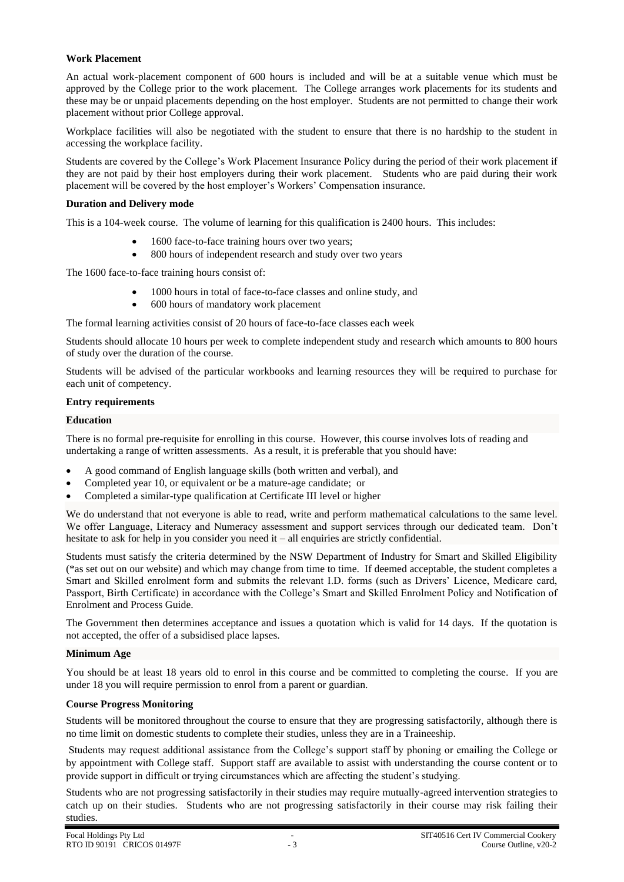## **Work Placement**

An actual work-placement component of 600 hours is included and will be at a suitable venue which must be approved by the College prior to the work placement. The College arranges work placements for its students and these may be or unpaid placements depending on the host employer. Students are not permitted to change their work placement without prior College approval.

Workplace facilities will also be negotiated with the student to ensure that there is no hardship to the student in accessing the workplace facility.

Students are covered by the College's Work Placement Insurance Policy during the period of their work placement if they are not paid by their host employers during their work placement. Students who are paid during their work placement will be covered by the host employer's Workers' Compensation insurance.

## **Duration and Delivery mode**

This is a 104-week course. The volume of learning for this qualification is 2400 hours. This includes:

- 1600 face-to-face training hours over two years;
- 800 hours of independent research and study over two years

The 1600 face-to-face training hours consist of:

- 1000 hours in total of face-to-face classes and online study, and
	- 600 hours of mandatory work placement

The formal learning activities consist of 20 hours of face-to-face classes each week

Students should allocate 10 hours per week to complete independent study and research which amounts to 800 hours of study over the duration of the course.

Students will be advised of the particular workbooks and learning resources they will be required to purchase for each unit of competency.

### **Entry requirements**

## **Education**

There is no formal pre-requisite for enrolling in this course. However, this course involves lots of reading and undertaking a range of written assessments. As a result, it is preferable that you should have:

- A good command of English language skills (both written and verbal), and
- Completed year 10, or equivalent or be a mature-age candidate; or
- Completed a similar-type qualification at Certificate III level or higher

We do understand that not everyone is able to read, write and perform mathematical calculations to the same level. We offer Language, Literacy and Numeracy assessment and support services through our dedicated team. Don't hesitate to ask for help in you consider you need it – all enquiries are strictly confidential.

Students must satisfy the criteria determined by the NSW Department of Industry for Smart and Skilled Eligibility (\*as set out on our website) and which may change from time to time. If deemed acceptable, the student completes a Smart and Skilled enrolment form and submits the relevant I.D. forms (such as Drivers' Licence, Medicare card, Passport, Birth Certificate) in accordance with the College's Smart and Skilled Enrolment Policy and Notification of Enrolment and Process Guide.

The Government then determines acceptance and issues a quotation which is valid for 14 days. If the quotation is not accepted, the offer of a subsidised place lapses.

### **Minimum Age**

You should be at least 18 years old to enrol in this course and be committed to completing the course. If you are under 18 you will require permission to enrol from a parent or guardian.

### **Course Progress Monitoring**

Students will be monitored throughout the course to ensure that they are progressing satisfactorily, although there is no time limit on domestic students to complete their studies, unless they are in a Traineeship.

Students may request additional assistance from the College's support staff by phoning or emailing the College or by appointment with College staff. Support staff are available to assist with understanding the course content or to provide support in difficult or trying circumstances which are affecting the student's studying.

Students who are not progressing satisfactorily in their studies may require mutually-agreed intervention strategies to catch up on their studies. Students who are not progressing satisfactorily in their course may risk failing their studies.